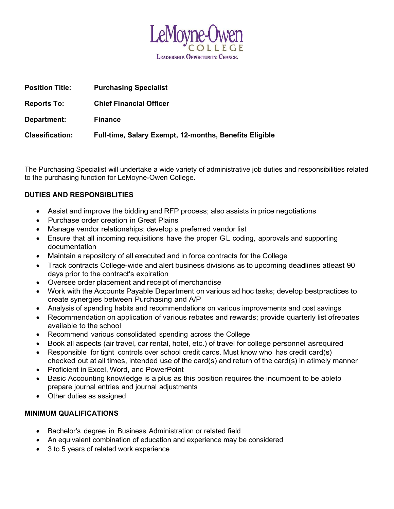

| <b>Position Title:</b> | <b>Purchasing Specialist</b>                           |
|------------------------|--------------------------------------------------------|
| <b>Reports To:</b>     | <b>Chief Financial Officer</b>                         |
| Department:            | <b>Finance</b>                                         |
| <b>Classification:</b> | Full-time, Salary Exempt, 12-months, Benefits Eligible |

The Purchasing Specialist will undertake a wide variety of administrative job duties and responsibilities related to the purchasing function for LeMoyne-Owen College.

# DUTIES AND RESPONSIBLITIES

- Assist and improve the bidding and RFP process; also assists in price negotiations
- Purchase order creation in Great Plains
- Manage vendor relationships; develop a preferred vendor list
- Ensure that all incoming requisitions have the proper GL coding, approvals and supporting documentation
- Maintain a repository of all executed and in force contracts for the College
- Track contracts College-wide and alert business divisions as to upcoming deadlines at least 90 days prior to the contract's expiration
- Oversee order placement and receipt of merchandise
- Work with the Accounts Payable Department on various ad hoc tasks; develop bestpractices to create synergies between Purchasing and A/P
- Analysis of spending habits and recommendations on various improvements and cost savings
- Recommendation on application of various rebates and rewards; provide quarterly list of rebates available to the school
- Recommend various consolidated spending across the College
- Book all aspects (air travel, car rental, hotel, etc.) of travel for college personnel as required
- Responsible for tight controls over school credit cards. Must know who has credit card(s) checked out at all times, intended use of the card(s) and return of the card(s) in a timely manner
- Proficient in Excel, Word, and PowerPoint
- Basic Accounting knowledge is a plus as this position requires the incumbent to be ableto prepare journal entries and journal adjustments
- Other duties as assigned

## MINIMUM QUALIFICATIONS

- Bachelor's degree in Business Administration or related field
- An equivalent combination of education and experience may be considered
- 3 to 5 years of related work experience